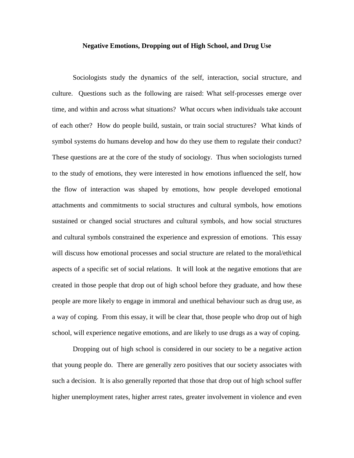#### **Negative Emotions, Dropping out of High School, and Drug Use**

Sociologists study the dynamics of the self, interaction, social structure, and culture. Questions such as the following are raised: What self-processes emerge over time, and within and across what situations? What occurs when individuals take account of each other? How do people build, sustain, or train social structures? What kinds of symbol systems do humans develop and how do they use them to regulate their conduct? These questions are at the core of the study of sociology. Thus when sociologists turned to the study of emotions, they were interested in how emotions influenced the self, how the flow of interaction was shaped by emotions, how people developed emotional attachments and commitments to social structures and cultural symbols, how emotions sustained or changed social structures and cultural symbols, and how social structures and cultural symbols constrained the experience and expression of emotions. This essay will discuss how emotional processes and social structure are related to the moral/ethical aspects of a specific set of social relations. It will look at the negative emotions that are created in those people that drop out of high school before they graduate, and how these people are more likely to engage in immoral and unethical behaviour such as drug use, as a way of coping. From this essay, it will be clear that, those people who drop out of high school, will experience negative emotions, and are likely to use drugs as a way of coping.

Dropping out of high school is considered in our society to be a negative action that young people do. There are generally zero positives that our society associates with such a decision. It is also generally reported that those that drop out of high school suffer higher unemployment rates, higher arrest rates, greater involvement in violence and even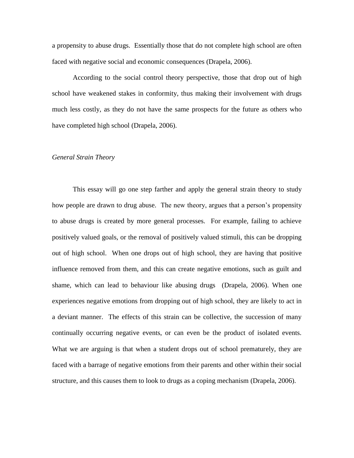a propensity to abuse drugs. Essentially those that do not complete high school are often faced with negative social and economic consequences (Drapela, 2006).

According to the social control theory perspective, those that drop out of high school have weakened stakes in conformity, thus making their involvement with drugs much less costly, as they do not have the same prospects for the future as others who have completed high school (Drapela, 2006).

## *General Strain Theory*

This essay will go one step farther and apply the general strain theory to study how people are drawn to drug abuse. The new theory, argues that a person's propensity to abuse drugs is created by more general processes. For example, failing to achieve positively valued goals, or the removal of positively valued stimuli, this can be dropping out of high school. When one drops out of high school, they are having that positive influence removed from them, and this can create negative emotions, such as guilt and shame, which can lead to behaviour like abusing drugs (Drapela, 2006). When one experiences negative emotions from dropping out of high school, they are likely to act in a deviant manner. The effects of this strain can be collective, the succession of many continually occurring negative events, or can even be the product of isolated events. What we are arguing is that when a student drops out of school prematurely, they are faced with a barrage of negative emotions from their parents and other within their social structure, and this causes them to look to drugs as a coping mechanism (Drapela, 2006).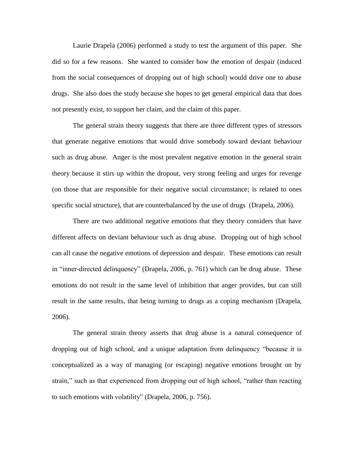Laurie Drapela (2006) performed a study to test the argument of this paper. She did so for a few reasons. She wanted to consider how the emotion of despair (induced from the social consequences of dropping out of high school) would drive one to abuse drugs. She also does the study because she hopes to get general empirical data that does not presently exist, to support her claim, and the claim of this paper.

The general strain theory suggests that there are three different types of stressors that generate negative emotions that would drive somebody toward deviant behaviour such as drug abuse. Anger is the most prevalent negative emotion in the general strain theory because it stirs up within the dropout, very strong feeling and urges for revenge (on those that are responsible for their negative social circumstance; is related to ones specific social structure), that are counterbalanced by the use of drugs (Drapela, 2006).

There are two additional negative emotions that they theory considers that have different affects on deviant behaviour such as drug abuse. Dropping out of high school can all cause the negative emotions of depression and despair. These emotions can result in "inner-directed delinquency" (Drapela, 2006, p. 761) which can be drug abuse. These emotions do not result in the same level of inhibition that anger provides, but can still result in the same results, that being turning to drugs as a coping mechanism (Drapela, 2006).

The general strain theory asserts that drug abuse is a natural consequence of dropping out of high school, and a unique adaptation from delinquency "because it is conceptualized as a way of managing (or escaping) negative emotions brought on by strain," such as that experienced from dropping out of high school, "rather than reacting to such emotions with volatility" (Drapela, 2006, p. 756).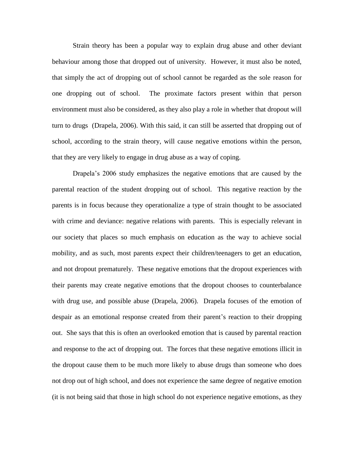Strain theory has been a popular way to explain drug abuse and other deviant behaviour among those that dropped out of university. However, it must also be noted, that simply the act of dropping out of school cannot be regarded as the sole reason for one dropping out of school. The proximate factors present within that person environment must also be considered, as they also play a role in whether that dropout will turn to drugs (Drapela, 2006). With this said, it can still be asserted that dropping out of school, according to the strain theory, will cause negative emotions within the person, that they are very likely to engage in drug abuse as a way of coping.

Drapela's 2006 study emphasizes the negative emotions that are caused by the parental reaction of the student dropping out of school. This negative reaction by the parents is in focus because they operationalize a type of strain thought to be associated with crime and deviance: negative relations with parents. This is especially relevant in our society that places so much emphasis on education as the way to achieve social mobility, and as such, most parents expect their children/teenagers to get an education, and not dropout prematurely. These negative emotions that the dropout experiences with their parents may create negative emotions that the dropout chooses to counterbalance with drug use, and possible abuse (Drapela, 2006). Drapela focuses of the emotion of despair as an emotional response created from their parent's reaction to their dropping out. She says that this is often an overlooked emotion that is caused by parental reaction and response to the act of dropping out. The forces that these negative emotions illicit in the dropout cause them to be much more likely to abuse drugs than someone who does not drop out of high school, and does not experience the same degree of negative emotion (it is not being said that those in high school do not experience negative emotions, as they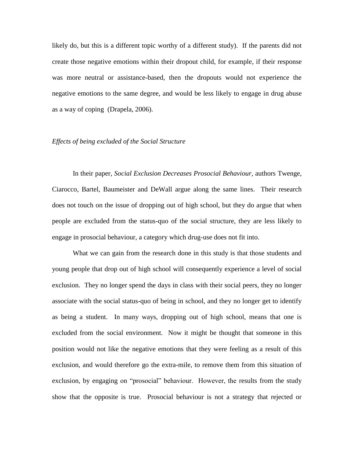likely do, but this is a different topic worthy of a different study). If the parents did not create those negative emotions within their dropout child, for example, if their response was more neutral or assistance-based, then the dropouts would not experience the negative emotions to the same degree, and would be less likely to engage in drug abuse as a way of coping (Drapela, 2006).

### *Effects of being excluded of the Social Structure*

In their paper, *Social Exclusion Decreases Prosocial Behaviour,* authors Twenge, Ciarocco, Bartel, Baumeister and DeWall argue along the same lines. Their research does not touch on the issue of dropping out of high school, but they do argue that when people are excluded from the status-quo of the social structure, they are less likely to engage in prosocial behaviour, a category which drug-use does not fit into.

What we can gain from the research done in this study is that those students and young people that drop out of high school will consequently experience a level of social exclusion. They no longer spend the days in class with their social peers, they no longer associate with the social status-quo of being in school, and they no longer get to identify as being a student. In many ways, dropping out of high school, means that one is excluded from the social environment. Now it might be thought that someone in this position would not like the negative emotions that they were feeling as a result of this exclusion, and would therefore go the extra-mile, to remove them from this situation of exclusion, by engaging on "prosocial" behaviour. However, the results from the study show that the opposite is true. Prosocial behaviour is not a strategy that rejected or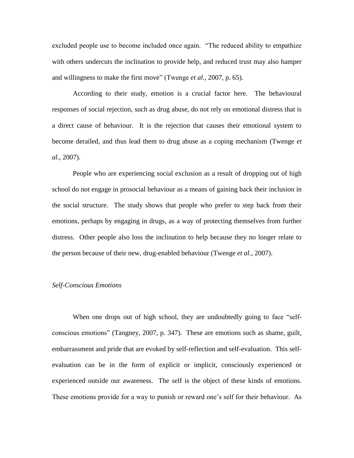excluded people use to become included once again. "The reduced ability to empathize with others undercuts the inclination to provide help, and reduced trust may also hamper and willingness to make the first move" (Twenge *et al.,* 2007, p. 65).

According to their study, emotion is a crucial factor here. The behavioural responses of social rejection, such as drug abuse, do not rely on emotional distress that is a direct cause of behaviour. It is the rejection that causes their emotional system to become derailed, and thus lead them to drug abuse as a coping mechanism (Twenge *et al.,* 2007).

People who are experiencing social exclusion as a result of dropping out of high school do not engage in prosocial behaviour as a means of gaining back their inclusion in the social structure. The study shows that people who prefer to step back from their emotions, perhaps by engaging in drugs, as a way of protecting themselves from further distress. Other people also loss the inclination to help because they no longer relate to the person because of their new, drug-enabled behaviour (Twenge *et al.,* 2007).

#### *Self-Conscious Emotions*

When one drops out of high school, they are undoubtedly going to face "selfconscious emotions" (Tangney, 2007, p. 347). These are emotions such as shame, guilt, embarrassment and pride that are evoked by self-reflection and self-evaluation. This selfevaluation can be in the form of explicit or implicit, consciously experienced or experienced outside our awareness. The self is the object of these kinds of emotions. These emotions provide for a way to punish or reward one's self for their behaviour. As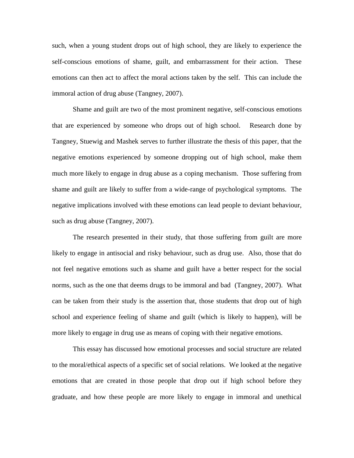such, when a young student drops out of high school, they are likely to experience the self-conscious emotions of shame, guilt, and embarrassment for their action. These emotions can then act to affect the moral actions taken by the self. This can include the immoral action of drug abuse (Tangney, 2007).

Shame and guilt are two of the most prominent negative, self-conscious emotions that are experienced by someone who drops out of high school. Research done by Tangney, Stuewig and Mashek serves to further illustrate the thesis of this paper, that the negative emotions experienced by someone dropping out of high school, make them much more likely to engage in drug abuse as a coping mechanism. Those suffering from shame and guilt are likely to suffer from a wide-range of psychological symptoms. The negative implications involved with these emotions can lead people to deviant behaviour, such as drug abuse (Tangney, 2007).

The research presented in their study, that those suffering from guilt are more likely to engage in antisocial and risky behaviour, such as drug use. Also, those that do not feel negative emotions such as shame and guilt have a better respect for the social norms, such as the one that deems drugs to be immoral and bad (Tangney, 2007). What can be taken from their study is the assertion that, those students that drop out of high school and experience feeling of shame and guilt (which is likely to happen), will be more likely to engage in drug use as means of coping with their negative emotions.

This essay has discussed how emotional processes and social structure are related to the moral/ethical aspects of a specific set of social relations. We looked at the negative emotions that are created in those people that drop out if high school before they graduate, and how these people are more likely to engage in immoral and unethical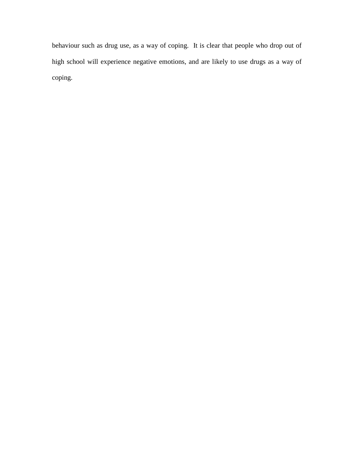behaviour such as drug use, as a way of coping. It is clear that people who drop out of high school will experience negative emotions, and are likely to use drugs as a way of coping.